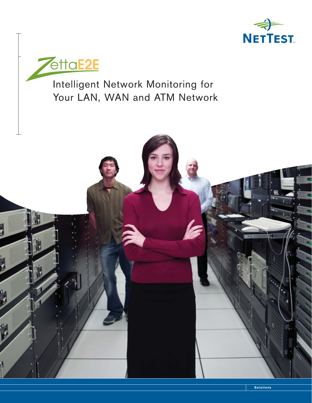



Intelligent Network Monitoring for Your LAN, WAN and ATM Network

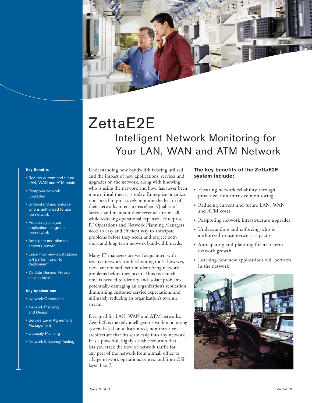

# ZettaE2E Intelligent Network Monitoring for Your LAN, WAN and ATM Network

#### **Key Benefits**

- Reduce current and future LAN, WAN and ATM costs
- Postpone network upgrades
- Understand and enforce who is authorized to use the network
- Proactively analyze application usage on the network
- Anticipate and plan for network growth
- Learn how new applications will perform prior to deployment
- Validate Service Provider service levels

#### **Key Applications**

- Network Operations
- Network Planning and Design
- Service Level Agreement Management
- Capacity Planning
- Network Efficiency Testing

Understanding how bandwidth is being utilized and the impact of new applications, services and upgrades on the network, along with knowing who is using the network and how, has never been more critical then it is today. Enterprise organizations need to proactively monitor the health of their networks to ensure excellent Quality of Service and maintain their revenue streams all while reducing operational expenses. Enterprise IT Operations and Network Planning Managers need an easy and efficient way to anticipate problems before they occur and project both short and long term network bandwidth needs.

Many IT managers are well acquainted with reactive network troubleshooting tools; however, these are not sufficient in identifying network problems before they occur. Thus too much time is needed to identify and isolate problems, potentially damaging an organization's reputation, diminishing customer service expectations and ultimately reducing an organization's revenue stream.

Designed for LAN, WAN and ATM networks, ZettaE2E is the only intelligent network monitoring system based on a distributed, non-intrusive architecture that fits seamlessly into any network. It is a powerful, highly scalable solution that lets you track the flow of network traffic for any part of the network from a small office to a large network operations center, and from OSI layer 1 to 7.

## **The key benefits of the ZettaE2E system include:**

- **•** Ensuring network reliability through proactive, non-intrusive monitoring
- **•** Reducing current and future LAN, WAN and ATM costs
- **•** Postponing network infrastructure upgrades
- **•** Understanding and enforcing who is authorized to use network capacity
- **•** Anticipating and planning for near-term network growth
- **•** Learning how new applications will perform in the network

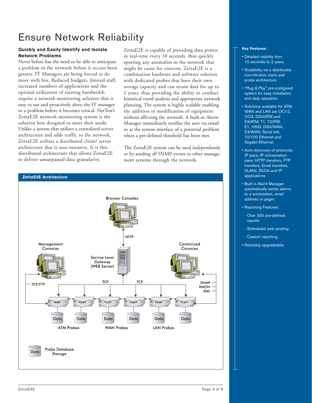# Ensure Network Reliability

## **Quickly and Easily Identify and Isolate Network Problems**

Never before has the need to be able to anticipate a problem in the network before it occurs been greater. IT Managers are being forced to do more with less. Reduced budgets, limited staff, increased numbers of applications and the optimal utilization of existing bandwidth require a network monitoring solution that is easy to use and proactively alerts the IT manager to a problem before it becomes critical. NetTest's ZettaE2E network monitoring system is the solution best designed to meet their needs. Unlike a system that utilizes a centralized server architecture and adds traffic to the network, ZettaE2E utilizes a distributed client/ server architecture that is non-intrusive. It is this distributed architecture that allows ZettaE2E to deliver unsurpassed data granularity.

ZettaE2E is capable of providing data points in real-time every 10 seconds, thus quickly spotting any anomalies in the network that might be cause for concern. ZettaE2E is a combination hardware and software solution with dedicated probes that have their own storage capacity and can retain data for up to 2 years, thus providing the ability to conduct historical trend analysis and appropriate network planning. The system is highly scalable enabling the addition or modification of equipment without affecting the network. A built-in Alarm Manager immediately notifies the user via email or at the system interface of a potential problem when a pre-defined threshold has been met.

The ZettaE2E system can be used independently or by sending all SNMP events to other management systems through the network.



#### Centralized Management Consoles Consoles Service Level Gateway (WEB Server) **TCP TCP** SNMP **TCP/FTP RMON** XML Tiir mm Thirt Tint **Thirt** Thirt Data Data Data Data Data Data **LAN Probes ATM Probes WAN Probes Probe Database** Data Storage

#### **Key Features:**

- Detailed visibility from 10 seconds to 2 years
- Scalability via a distributed, non-intrusive client and probe architecture
- "Plug & Play" pre-configured system for easy installation and daily operation
- Solutions available for ATM, WAN and LAN are OC12, OC3, DS3/ATM and E3/ATM, T1, T2/PRI, E1, HSSI, DS3/WAN, E3/WAN, Serial link, 10/100 Ethernet and Gigabit Ethernet.
- Auto-discovery of protocols, IP pairs, IP conversation pairs, HTTP transfers, FTP transfers, Email transfers, VLANs, DLCIs and IP applications
- Built in Alarm Manager automatically sends alarms to a workstation, email address or pager.
- Reporting Features:
- Over 300 pre-defined reports
- Scheduled web posting
- Custom reporting
- Remotely upgradeable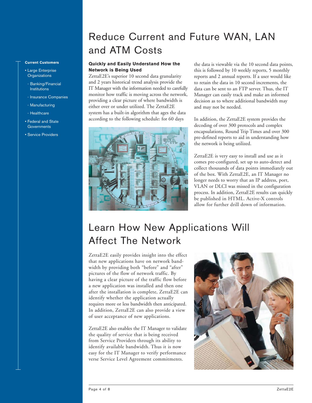### **Current Customers**

- Large Enterprise **Organizations**
- Banking/Financial **Institutions**
- Insurance Companies
- Manufacturing
- Healthcare
- Federal and State **Governments**
- Service Providers

# Reduce Current and Future WAN, LAN and ATM Costs

## **Quickly and Easily Understand How the Network is Being Used**

ZettaE2E's superior 10 second data granularity and 2 years historical trend analysis provide the IT Manager with the information needed to carefully monitor how traffic is moving across the network, providing a clear picture of where bandwidth is either over or under utilized. The ZettaE2E system has a built-in algorithm that ages the data according to the following schedule: for 60 days



the data is viewable via the 10 second data points, this is followed by 10 weekly reports, 5 monthly reports and 2 annual reports. If a user would like to retain the data in 10 second increments, the data can be sent to an FTP server. Thus, the IT Manager can easily track and make an informed decision as to where additional bandwidth may and may not be needed.

In addition, the ZettaE2E system provides the decoding of over 300 protocols and complex encapsulations, Round Trip Times and over 300 pre-defined reports to aid in understanding how the network is being utilized.

ZettaE2E is very easy to install and use as it comes pre-configured, set up to auto-detect and collect thousands of data points immediately out of the box. With ZettaE2E, an IT Manager no longer needs to worry that an IP address, port, VLAN or DLCI was missed in the configuration process. In addition, ZettaE2E results can quickly be published in HTML. Active-X controls allow for further drill down of information.

# Learn How New Applications Will Affect The Network

ZettaE2E easily provides insight into the effect that new applications have on network bandwidth by providing both "before" and "after" pictures of the flow of network traffic. By having a clear picture of the traffic flow before a new application was installed and then one after the installation is complete, ZettaE2E can identify whether the application actually requires more or less bandwidth then anticipated. In addition, ZettaE2E can also provide a view of user acceptance of new applications.

ZettaE2E also enables the IT Manager to validate the quality of service that is being received from Service Providers through its ability to identify available bandwidth. Thus it is now easy for the IT Manager to verify performance verse Service Level Agreement commitments.

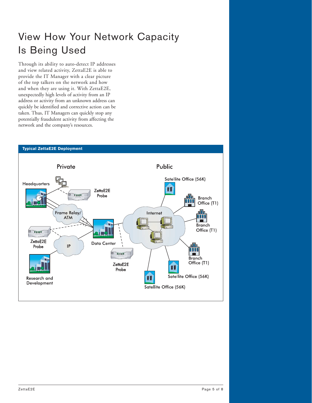# View How Your Network Capacity Is Being Used

Through its ability to auto-detect IP addresses and view related activity, ZettaE2E is able to provide the IT Manager with a clear picture of the top talkers on the network and how and when they are using it. With ZettaE2E, unexpectedly high levels of activity from an IP address or activity from an unknown address can quickly be identified and corrective action can be taken. Thus, IT Managers can quickly stop any potentially fraudulent activity from affecting the network and the company's resources.

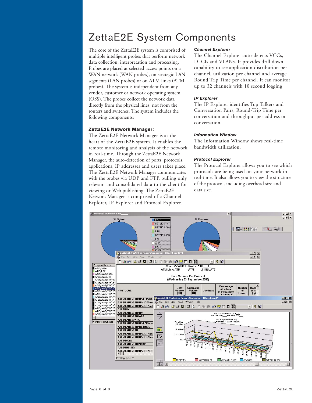## ZettaE2E System Components

The core of the ZettaE2E system is comprised of multiple intelligent probes that perform network data collection, interpretation and processing. Probes are placed at selected access points on a WAN network (WAN probes), on strategic LAN segments (LAN probes) or on ATM links (ATM probes). The system is independent from any vendor, customer or network operating system (OSS). The probes collect the network data directly from the physical lines, not from the routers and switches. The system includes the following components:

#### **ZettaE2E Network Manager:**

The ZettaE2E Network Manager is at the heart of the ZettaE2E system. It enables the remote monitoring and analysis of the network in real-time. Through the ZettaE2E Network Manager, the auto-detection of ports, protocols, applications, IP addresses and users takes place. The ZettaE2E Network Manager communicates with the probes via UDP and FTP, pulling only relevant and consolidated data to the client for viewing or Web publishing. The ZettaE2E Network Manager is comprised of a Channel Explorer, IP Explorer and Protocol Explorer.

#### *Channel Explorer*

The Channel Explorer auto-detects VCCs, DLCIs and VLANs. It provides drill down capability to see application distribution per channel, utilization per channel and average Round Trip Time per channel. It can monitor up to 32 channels with 10 second logging

#### *IP Explorer*

The IP Explorer identifies Top Talkers and Conversation Pairs, Round-Trip Time per conversation and throughput per address or conversation.

### *Information Window*

The Information Window shows real-time bandwidth utilization.

#### *Protocol Explorer*

The Protocol Explorer allows you to see which protocols are being used on your network in real-time. It also allows you to view the structure of the protocol, including overhead size and data size.

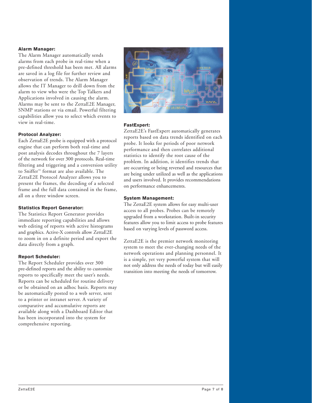## **Alarm Manager:**

The Alarm Manager automatically sends alarms from each probe in real-time when a pre-defined threshold has been met. All alarms are saved in a log file for further review and observation of trends. The Alarm Manager allows the IT Manager to drill down from the alarm to view who were the Top Talkers and Applications involved in causing the alarm. Alarms may be sent to the ZettaE2E Manager, SNMP stations or via email. Powerful filtering capabilities allow you to select which events to view in real-time.

## **Protocol Analyzer:**

Each ZettaE2E probe is equipped with a protocol engine that can perform both real-time and post analysis decodes throughout the 7 layers of the network for over 300 protocols. Real-time filtering and triggering and a conversion utility to Sniffer™ format are also available. The ZettaE2E Protocol Analyzer allows you to present the frames, the decoding of a selected frame and the full data contained in the frame, all on a three window screen.

### **Statistics Report Generator:**

The Statistics Report Generator provides immediate reporting capabilities and allows web editing of reports with active histograms and graphics. Active-X controls allow ZettaE2E to zoom in on a definite period and export the data directly from a graph.

#### **Report Scheduler:**

The Report Scheduler provides over 300 pre-defined reports and the ability to customize reports to specifically meet the user's needs. Reports can be scheduled for routine delivery or be obtained on an adhoc basis. Reports may be automatically posted to a web server, sent to a printer or intranet server. A variety of comparative and accumulative reports are available along with a Dashboard Editor that has been incorporated into the system for comprehensive reporting.



## **FastExpert:**

ZettaE2E's FastExpert automatically generates reports based on data trends identified on each probe. It looks for periods of poor network performance and then correlates additional statistics to identify the root cause of the problem. In addition, it identifies trends that are occurring or being reversed and resources that are being under utilized as well as the applications and users involved. It provides recommendations on performance enhancements.

### **System Management:**

The ZettaE2E system allows for easy multi-user access to all probes. Probes can be remotely upgraded from a workstation. Built-in security features allow you to limit access to probe features based on varying levels of password access.

ZettaE2E is the premier network monitoring system to meet the ever-changing needs of the network operations and planning personnel. It is a simple, yet very powerful system that will not only address the needs of today but will easily transition into meeting the needs of tomorrow.